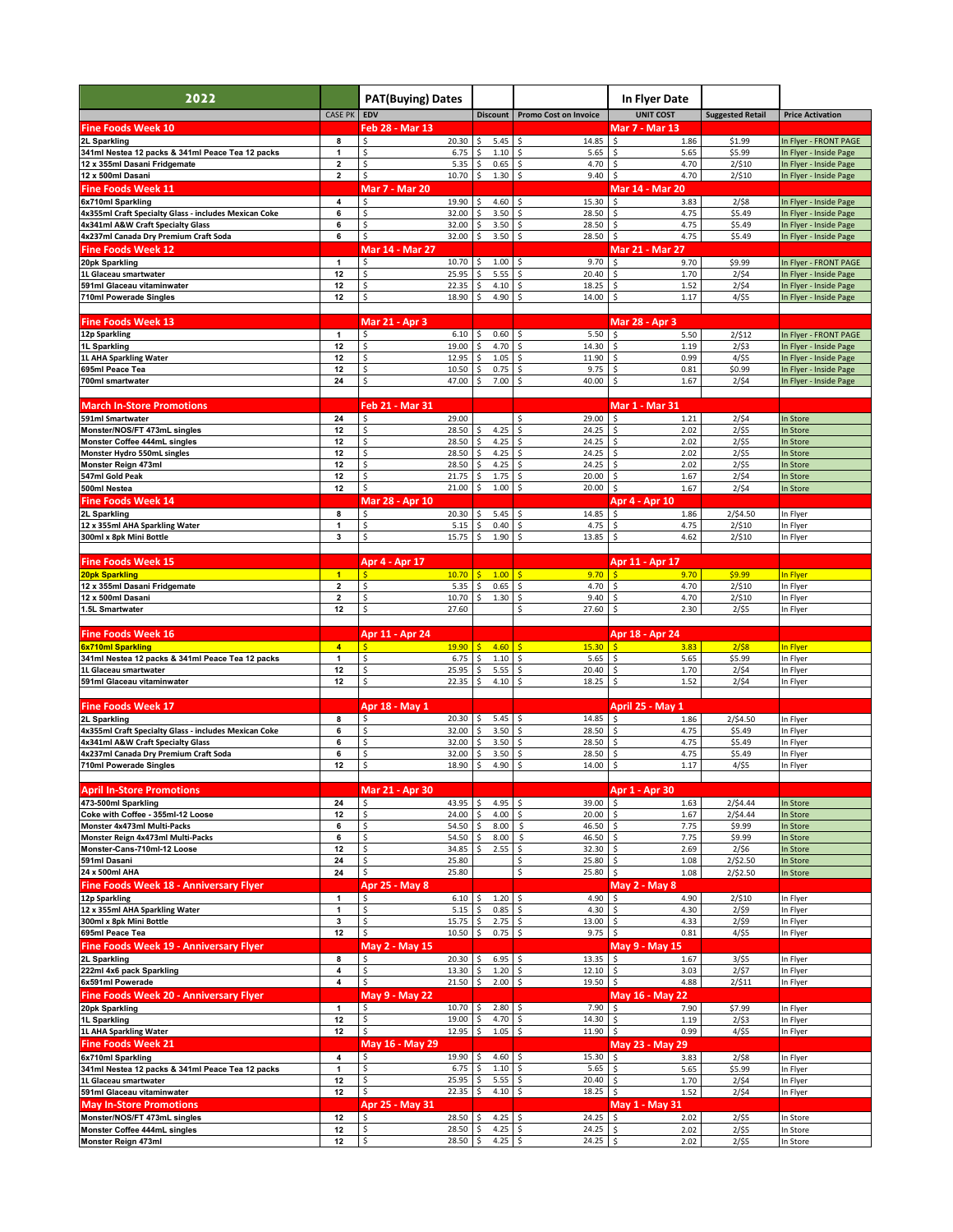| 2022                                                                       |                                           | <b>PAT(Buying) Dates</b>              |                               |                                     | In Flyer Date                                  |                         |                                                  |
|----------------------------------------------------------------------------|-------------------------------------------|---------------------------------------|-------------------------------|-------------------------------------|------------------------------------------------|-------------------------|--------------------------------------------------|
|                                                                            | <b>CASE PK</b>                            | EDV                                   |                               | Discount Promo Cost on Invoice      | <b>UNIT COST</b>                               | <b>Suggested Retail</b> | <b>Price Activation</b>                          |
| <b>Fine Foods Week 10</b>                                                  |                                           | Feb 28 - Mar 13                       |                               |                                     | <b>Mar 7 - Mar 13</b>                          |                         |                                                  |
| 2L Sparkling<br>341ml Nestea 12 packs & 341ml Peace Tea 12 packs           | 8<br>1                                    | 20.30<br>\$<br>\$<br>6.75             | \$<br>$5.45$ \$<br>\$<br>1.10 | 14.85<br>$\mathsf{\hat{S}}$<br>5.65 | -\$<br>1.86<br>$\ddot{\mathsf{s}}$<br>5.65     | \$1.99<br>\$5.99        | In Flyer - FRONT PAGE<br>In Flyer - Inside Page  |
| 12 x 355ml Dasani Fridgemate                                               | 2                                         | \$<br>5.35                            | \$<br>0.65                    | 4.70<br>-\$                         | 4.70<br>\$                                     | 2/\$10                  | In Flyer - Inside Page                           |
| 12 x 500ml Dasani                                                          | 2                                         | \$<br>10.70                           | \$<br>1.30                    | \$<br>9.40                          | \$<br>4.70                                     | 2/\$10                  | In Flyer - Inside Page                           |
| <b>Fine Foods Week 11</b>                                                  |                                           | <b>Mar 7 - Mar 20</b>                 |                               |                                     | Mar 14 - Mar 20                                |                         |                                                  |
| 6x710ml Sparkling<br>4x355ml Craft Specialty Glass - includes Mexican Coke | 4<br>6                                    | \$<br>19.90<br>32.00<br>Ŝ.            | \$<br>4.60<br>\$<br>3.50      | 15.30<br>\$<br>-\$<br>28.50         | 3.83<br>-\$<br>\$<br>4.75                      | 2/58<br>\$5.49          | In Flyer - Inside Page<br>In Flyer - Inside Page |
| 4x341ml A&W Craft Specialty Glass                                          | 6                                         | 32.00<br>\$                           | 3.50<br>\$                    | -\$<br>28.50                        | 4.75<br>\$                                     | \$5.49                  | In Flyer - Inside Page                           |
| 4x237ml Canada Dry Premium Craft Soda                                      | 6                                         | \$<br>32.00                           | \$<br>3.50                    | \$<br>28.50                         | \$<br>4.75                                     | \$5.49                  | In Flyer - Inside Page                           |
| <b>Fine Foods Week 12</b><br>20pk Sparkling                                | $\mathbf{1}$                              | <b>Mar 14 - Mar 27</b><br>10.70<br>Ś. | \$<br>1.00                    | 9.70<br>-\$                         | Mar 21 - Mar 27<br>\$<br>9.70                  | \$9.99                  | In Flyer - FRONT PAGE                            |
| 1L Glaceau smartwater                                                      | 12                                        | Ś<br>25.95                            | \$.<br>5.55                   | -\$<br>20.40                        | \$<br>1.70                                     | 2/54                    | In Flyer - Inside Page                           |
| 591ml Glaceau vitaminwater<br><b>710ml Powerade Singles</b>                | 12<br>12                                  | 22.35<br>\$<br>Ś<br>18.90             | 4.10<br>\$<br>4.90            | 18.25<br>\$<br>Ś<br>14.00           | \$<br>1.52<br>Ś<br>1.17                        | 2/54<br>4/55            | In Flyer - Inside Page<br>In Flyer - Inside Page |
|                                                                            |                                           |                                       |                               |                                     |                                                |                         |                                                  |
| <b>Fine Foods Week 13</b>                                                  |                                           | <b>Mar 21 - Apr 3</b>                 |                               |                                     | <b>Mar 28 - Apr 3</b>                          |                         |                                                  |
| 12p Sparkling<br>1L Sparkling                                              | $\mathbf{1}$<br>12                        | 6.10<br>19.00                         | \$<br>0.60<br>4.70<br>\$      | \$<br>5.50<br>-\$<br>14.30          | 5.50<br>\$<br>\$<br>1.19                       | 2/512<br>2/53           | In Flyer - FRONT PAGE                            |
| 1L AHA Sparkling Water                                                     | 12                                        | 12.95<br>Ś                            | \$<br>1.05                    | \$<br>11.90                         | Ś<br>0.99                                      | 4/55                    | In Flyer - Inside Page<br>In Flyer - Inside Page |
| 695ml Peace Tea                                                            | 12                                        | 10.50<br>\$                           | 0.75                          | \$<br>9.75                          | 0.81<br>\$                                     | \$0.99                  | In Flyer - Inside Page                           |
| 700ml smartwater                                                           | 24                                        | Ś<br>47.00                            | 7.00<br>Ś                     | Ś<br>40.00                          | Ś<br>1.67                                      | 2/54                    | In Flyer - Inside Page                           |
| <b>March In-Store Promotions</b>                                           |                                           | Feb 21 - Mar 31                       |                               |                                     | <b>Mar 1 - Mar 31</b>                          |                         |                                                  |
| 591ml Smartwater                                                           | 24                                        | 29.00                                 |                               | 29.00<br>\$                         | \$<br>1.21                                     | 2/54                    | In Store                                         |
| Monster/NOS/FT 473mL singles<br>Monster Coffee 444mL singles               | 12<br>12                                  | 28.50<br>Ś<br>28.50                   | 4.25<br>\$<br>\$<br>4.25      | \$<br>24.25<br>\$<br>24.25          | \$<br>2.02<br>\$<br>2.02                       | 2/55<br>2/55            | In Store<br>In Store                             |
| Monster Hydro 550mL singles                                                | 12                                        | \$<br>28.50                           | 4.25<br>\$                    | \$<br>24.25                         | 2.02<br>\$                                     | 2/55                    | In Store                                         |
| Monster Reign 473ml                                                        | 12                                        | Ś<br>28.50                            | 4.25                          | Ś<br>24.25                          | \$<br>2.02                                     | 2/55                    | In Store                                         |
| 547ml Gold Peak<br>500ml Nestea                                            | 12<br>12                                  | \$<br>21.75<br>\$<br>21.00            | 1.75<br>\$<br>1.00            | 20.00<br>\$<br>20.00<br>Ś           | \$<br>1.67<br>\$<br>1.67                       | 2/54<br>2/54            | In Store<br>In Store                             |
| <b>Fine Foods Week 14</b>                                                  |                                           | Mar 28 - Apr 10                       |                               |                                     | Apr 4 - Apr 10                                 |                         |                                                  |
| 2L Sparkling                                                               | 8                                         | 20.30<br>\$                           | 5.45<br>\$                    | 14.85<br>\$                         | \$<br>1.86                                     | 2/\$4.50                | In Flyer                                         |
| 12 x 355ml AHA Sparkling Water<br>300ml x 8pk Mini Bottle                  | 1<br>3                                    | Ś<br>5.15<br>\$<br>15.75              | Ś<br>0.40<br>1.90<br>\$       | \$<br>4.75<br>13.85<br>\$           | \$<br>4.75<br>\$<br>4.62                       | 2/\$10<br>2/\$10        | In Flyer<br>In Flyer                             |
|                                                                            |                                           |                                       |                               |                                     |                                                |                         |                                                  |
| <b>Fine Foods Week 15</b>                                                  |                                           | Apr 4 - Apr 17                        |                               |                                     | Apr 11 - Apr 17                                |                         |                                                  |
| <b>20pk Sparkling</b><br>12 x 355ml Dasani Fridgemate                      | $\blacksquare$<br>$\overline{\mathbf{2}}$ | 10.70<br>\$.<br>\$<br>5.35            | \$<br>1.00<br>\$<br>0.65      | 9.70<br>Ŝ<br>\$<br>4.70             | 9.70<br>-Ś<br>\$<br>4.70                       | \$9.99<br>2/\$10        | In Flyer<br>In Flyer                             |
| 12 x 500ml Dasani                                                          | 2                                         | 10.70                                 | 1.30<br>\$                    | 9.40<br>-\$                         | 4.70<br>\$                                     | 2/\$10                  | In Flyer                                         |
| 1.5L Smartwater                                                            | 12                                        | Ś<br>27.60                            |                               | \$<br>27.60                         | Ś<br>2.30                                      | 2/55                    | In Flyer                                         |
| <b>Fine Foods Week 16</b>                                                  |                                           | Apr 11 - Apr 24                       |                               |                                     | Apr 18 - Apr 24                                |                         |                                                  |
| 6x710ml Sparkling                                                          | $\overline{\mathbf{4}}$                   | 19.90                                 | $\frac{1}{2}$<br>4.60         | 15.30                               | 3.83<br>\$                                     | 2/58                    | In Flyer                                         |
| 341ml Nestea 12 packs & 341ml Peace Tea 12 packs                           | 1                                         | \$<br>6.75                            | \$<br>1.10                    | \$<br>5.65                          | 5.65<br>\$                                     | \$5.99                  | In Flyer                                         |
| 1L Glaceau smartwater<br>591ml Glaceau vitaminwater                        | 12<br>12                                  | 25.95<br>Ś<br>Ś<br>22.35              | 5.55<br>4.10<br>\$            | Ś<br>20.40<br>18.25<br>Ś            | Ś<br>1.70<br>\$<br>1.52                        | 2/54<br>2/54            | In Flyer<br>In Flyer                             |
|                                                                            |                                           |                                       |                               |                                     |                                                |                         |                                                  |
| <b>Fine Foods Week 17</b>                                                  |                                           | Apr 18 - May 1                        |                               |                                     | April 25 - May 1                               |                         |                                                  |
| 2L Sparkling<br>4x355ml Craft Specialty Glass - includes Mexican Coke      | 8<br>6                                    | 20.30<br>32.00                        | \$<br>5.45<br>\$<br>3.50      | \$<br>14.85<br>\$<br>28.50          | 1.86<br>-\$<br>\$<br>4.75                      | 2/\$4.50<br>\$5.49      | In Flyer<br>In Flyer                             |
| 4x341ml A&W Craft Specialty Glass                                          | 6                                         | 32.00                                 | Ś<br>3.50                     | Ś<br>28.50                          | \$<br>4.75                                     | \$5.49                  | In Flyer                                         |
| 4x237ml Canada Dry Premium Craft Soda<br>710ml Powerade Singles            | 6<br>12                                   | 32.00<br>18.90                        | 3.50<br>4.90<br>Ś             | 28.50<br>14.00                      | Ś<br>4.75<br>\$<br>1.17                        | \$5.49<br>4/\$5         | In Flyer<br>In Flyer                             |
|                                                                            |                                           |                                       |                               |                                     |                                                |                         |                                                  |
| <b>April In-Store Promotions</b>                                           |                                           | Mar 21 - Apr 30                       |                               |                                     | Apr 1 - Apr 30                                 |                         |                                                  |
| 473-500ml Sparkling<br>Coke with Coffee - 355ml-12 Loose                   | 24<br>12                                  | 43.95<br>Ś<br>\$<br>24.00             | \$<br>4.95<br>4.00<br>\$      | \$<br>39.00<br>20.00                | $\ddot{\mathsf{s}}$<br>1.63<br>\$<br>1.67      | 2/\$4.44<br>2/\$4.44    | In Store<br>In Store                             |
| Monster 4x473ml Multi-Packs                                                | 6                                         | \$<br>54.50                           | 8.00                          | \$<br>46.50                         | \$<br>7.75                                     | \$9.99                  | In Store                                         |
| Monster Reign 4x473ml Multi-Packs<br>Monster-Cans-710ml-12 Loose           | 6                                         | \$<br>54.50<br>Ś                      | 8.00                          | \$<br>46.50                         | 7.75<br>\$                                     | \$9.99                  | In Store                                         |
| 591ml Dasani                                                               | 12<br>24                                  | 34.85<br>\$<br>25.80                  | 2.55                          | 32.30<br>\$<br>\$<br>25.80          | \$<br>2.69<br>$\ddot{\mathsf{S}}$<br>1.08      | 2/56<br>2/\$2.50        | In Store<br>In Store                             |
| 24 x 500ml AHA                                                             | 24                                        | 25.80<br>\$                           |                               | \$<br>25.80                         | $\mathsf{\hat{S}}$<br>1.08                     | 2/\$2.50                | In Store                                         |
| Fine Foods Week 18 - Anniversary Flyer                                     |                                           | Apr 25 - May 8                        |                               |                                     | <b>May 2 - May 8</b>                           |                         |                                                  |
| 12p Sparkling<br>12 x 355ml AHA Sparkling Water                            | $\mathbf{1}$<br>1                         | Ś<br>6.10%<br>\$<br>5.15              | 1.20<br>Ś<br>0.85             | 4.90<br>∣\$<br>\$<br>4.30           | $\ddot{\phi}$<br>4.90<br>\$<br>4.30            | 2/\$10<br>2/59          | In Flyer<br>In Flyer                             |
| 300ml x 8pk Mini Bottle                                                    | 3                                         | \$<br>15.75                           | 2.75                          | 13.00<br>-\$                        | $\mathsf{\hat{S}}$<br>4.33                     | 2/59                    | In Flyer                                         |
| 695ml Peace Tea                                                            | 12                                        | \$<br>10.50%                          | $0.75$ \$                     | 9.75                                | \$<br>0.81                                     | 4/55                    | In Flyer                                         |
| Fine Foods Week 19 - Anniversary Flyer<br>2L Sparkling                     | 8                                         | May 2 - May 15<br>20.30               | \$<br>6.95                    | 13.35<br>Ś                          | May 9 - May 15<br>1.67                         | 3/55                    | In Flyer                                         |
| 222ml 4x6 pack Sparkling                                                   | 4                                         | 13.30                                 | 1.20<br>\$                    | 12.10<br>\$                         | \$<br>3.03                                     | 2/57                    | In Flyer                                         |
| 6x591ml Powerade                                                           | 4                                         | \$<br>21.50                           | \$<br>2.00                    | $\mathsf{\hat{S}}$<br>19.50         | \$<br>4.88                                     | 2/\$11                  | In Flyer                                         |
| <b>Fine Foods Week 20 - Anniversary Flyer</b><br>20pk Sparkling            | 1                                         | May 9 - May 22<br>10.70<br>\$         | 2.80<br>\$                    | 7.90<br>\$                          | May 16 - May 22<br>$\ddot{\mathsf{s}}$<br>7.90 | \$7.99                  | In Flyer                                         |
| 1L Sparkling                                                               | 12                                        | \$<br>19.00                           | \$<br>4.70                    | 14.30<br>\$                         | \$<br>1.19                                     | 2/53                    | In Flyer                                         |
| 1L AHA Sparkling Water                                                     | 12                                        | 12.95<br>\$                           | Ś<br>1.05                     | 11.90<br>\$                         | $\ddot{\mathsf{S}}$<br>0.99                    | 4/55                    | In Flyer                                         |
| <b>Fine Foods Week 21</b><br>6x710ml Sparkling                             | 4                                         | May 16 - May 29<br>19.90              | 4.60<br>\$                    | 15.30<br>-\$                        | May 23 - May 29<br>\$<br>3.83                  | 2/58                    | In Flyer                                         |
| 341ml Nestea 12 packs & 341ml Peace Tea 12 packs                           | 1                                         | \$<br>6.75                            | 1.10                          | \$<br>5.65                          | \$<br>5.65                                     | \$5.99                  | In Flyer                                         |
| 1L Glaceau smartwater                                                      | 12                                        | \$<br>25.95                           | 5.55                          | 20.40<br>\$                         | \$<br>1.70                                     | 2/54                    | In Flyer                                         |
| 591ml Glaceau vitaminwater<br><b>May In-Store Promotions</b>               | 12                                        | 22.35<br>Ś<br>Apr 25 - May 31         | \$<br>4.10                    | 18.25                               | $\ddot{\mathsf{S}}$<br>1.52<br>May 1 - May 31  | 2/54                    | In Flyer                                         |
| Monster/NOS/FT 473mL singles                                               | 12                                        | 28.50                                 | \$<br>4.25                    | 24.25<br>\$                         | \$<br>2.02                                     | 2/55                    | In Store                                         |
| Monster Coffee 444mL singles                                               | 12                                        | 28.50<br>Ś                            | 4.25<br>Ś                     | \$<br>24.25                         | \$<br>2.02                                     | 2/55                    | In Store                                         |
| Monster Reign 473ml                                                        | 12                                        | \$<br>28.50                           | 4.25<br>\$                    | $\ddot{\phi}$<br>24.25              | $\ddot{\mathsf{s}}$<br>2.02                    | 2/55                    | In Store                                         |